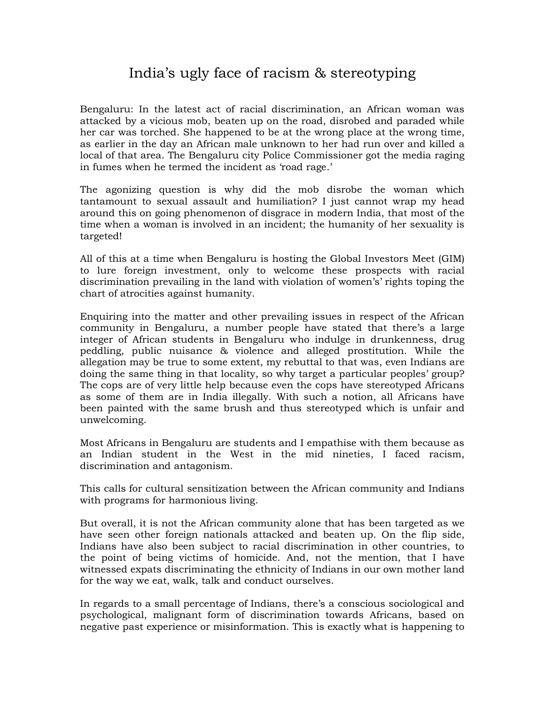## India's ugly face of racism & stereotyping

Bengaluru: In the latest act of racial discrimination, an African woman was attacked by a vicious mob, beaten up on the road, disrobed and paraded while her car was torched. She happened to be at the wrong place at the wrong time, as earlier in the day an African male unknown to her had run over and killed a local of that area. The Bengaluru city Police Commissioner got the media raging in fumes when he termed the incident as 'road rage.'

The agonizing question is why did the mob disrobe the woman which tantamount to sexual assault and humiliation? I just cannot wrap my head around this on going phenomenon of disgrace in modern India, that most of the time when a woman is involved in an incident; the humanity of her sexuality is targeted!

All of this at a time when Bengaluru is hosting the Global Investors Meet (GIM) to lure foreign investment, only to welcome these prospects with racial discrimination prevailing in the land with violation of women's' rights toping the chart of atrocities against humanity.

Enquiring into the matter and other prevailing issues in respect of the African community in Bengaluru, a number people have stated that there's a large integer of African students in Bengaluru who indulge in drunkenness, drug peddling, public nuisance & violence and alleged prostitution. While the allegation may be true to some extent, my rebuttal to that was, even Indians are doing the same thing in that locality, so why target a particular peoples' group? The cops are of very little help because even the cops have stereotyped Africans as some of them are in India illegally. With such a notion, all Africans have been painted with the same brush and thus stereotyped which is unfair and unwelcoming.

Most Africans in Bengaluru are students and I empathise with them because as an Indian student in the West in the mid nineties, I faced racism, discrimination and antagonism.

This calls for cultural sensitization between the African community and Indians with programs for harmonious living.

But overall, it is not the African community alone that has been targeted as we have seen other foreign nationals attacked and beaten up. On the flip side, Indians have also been subject to racial discrimination in other countries, to the point of being victims of homicide. And, not the mention, that I have witnessed expats discriminating the ethnicity of Indians in our own mother land for the way we eat, walk, talk and conduct ourselves.

In regards to a small percentage of Indians, there's a conscious sociological and psychological, malignant form of discrimination towards Africans, based on negative past experience or misinformation. This is exactly what is happening to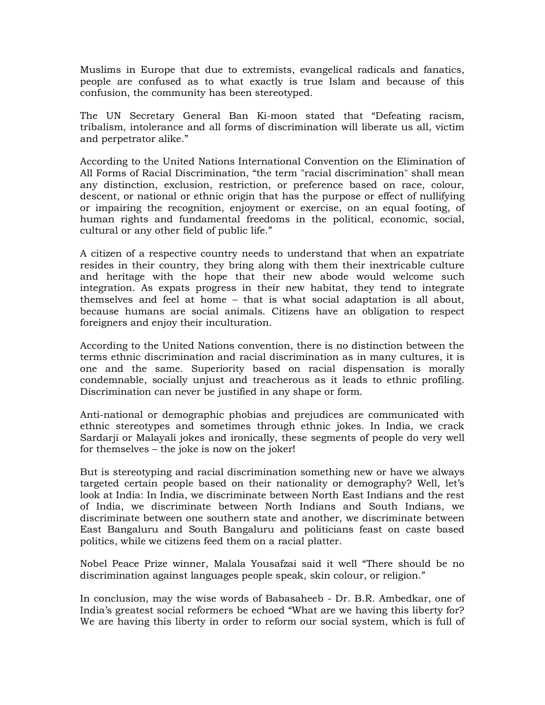Muslims in Europe that due to extremists, evangelical radicals and fanatics, people are confused as to what exactly is true Islam and because of this confusion, the community has been stereotyped.

The UN Secretary General Ban Ki-moon stated that "Defeating racism, tribalism, intolerance and all forms of discrimination will liberate us all, victim and perpetrator alike."

According to the United Nations International Convention on the Elimination of All Forms of Racial Discrimination, "the term "racial discrimination" shall mean any distinction, exclusion, restriction, or preference based on race, colour, descent, or national or ethnic origin that has the purpose or effect of nullifying or impairing the recognition, enjoyment or exercise, on an equal footing, of human rights and fundamental freedoms in the political, economic, social, cultural or any other field of public life."

A citizen of a respective country needs to understand that when an expatriate resides in their country, they bring along with them their inextricable culture and heritage with the hope that their new abode would welcome such integration. As expats progress in their new habitat, they tend to integrate themselves and feel at home – that is what social adaptation is all about, because humans are social animals. Citizens have an obligation to respect foreigners and enjoy their inculturation.

According to the United Nations convention, there is no distinction between the terms ethnic discrimination and racial discrimination as in many cultures, it is one and the same. Superiority based on racial dispensation is morally condemnable, socially unjust and treacherous as it leads to ethnic profiling. Discrimination can never be justified in any shape or form.

Anti-national or demographic phobias and prejudices are communicated with ethnic stereotypes and sometimes through ethnic jokes. In India, we crack Sardarji or Malayali jokes and ironically, these segments of people do very well for themselves – the joke is now on the joker!

But is stereotyping and racial discrimination something new or have we always targeted certain people based on their nationality or demography? Well, let's look at India: In India, we discriminate between North East Indians and the rest of India, we discriminate between North Indians and South Indians, we discriminate between one southern state and another, we discriminate between East Bangaluru and South Bangaluru and politicians feast on caste based politics, while we citizens feed them on a racial platter.

Nobel Peace Prize winner, Malala Yousafzai said it well "There should be no discrimination against languages people speak, skin colour, or religion."

In conclusion, may the wise words of Babasaheeb - Dr. B.R. Ambedkar, one of India's greatest social reformers be echoed "What are we having this liberty for? We are having this liberty in order to reform our social system, which is full of